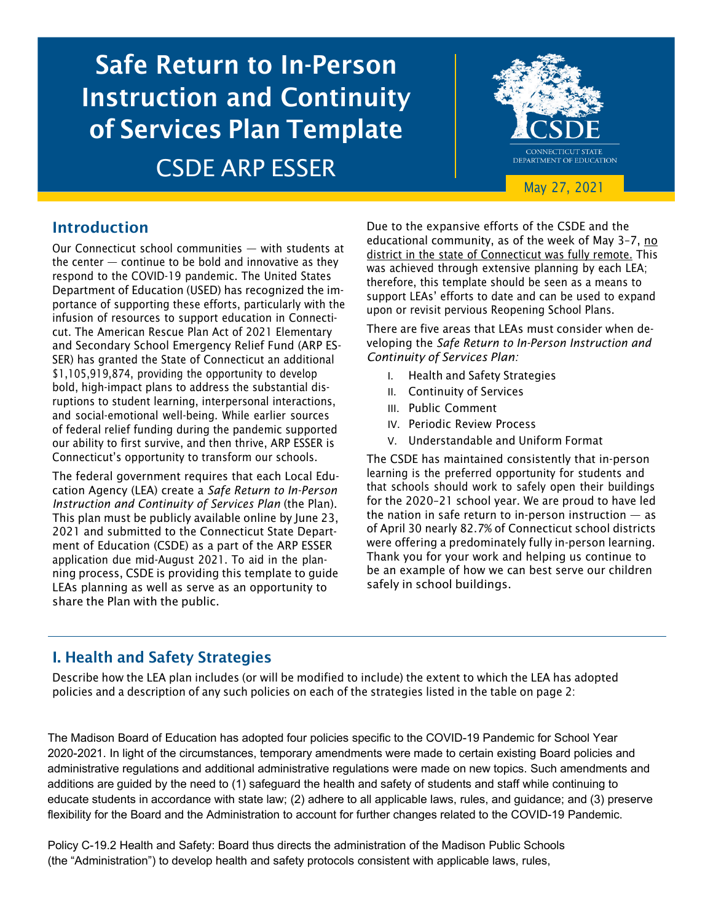# Safe Return to In-Person Instruction and Continuity of Services Plan Template CSDE ARP ESSER



## Introduction

Our Connecticut school communities — with students at the center  $-$  continue to be bold and innovative as they respond to the COVID-19 pandemic. The United States Department of Education (USED) has recognized the importance of supporting these efforts, particularly with the infusion of resources to support education in Connecticut. The American Rescue Plan Act of 2021 Elementary and Secondary School Emergency Relief Fund (ARP ES-SER) has granted the State of Connecticut an additional \$1,105,919,874, providing the opportunity to develop bold, high-impact plans to address the substantial disruptions to student learning, interpersonal interactions, and social-emotional well-being. While earlier sources of federal relief funding during the pandemic supported our ability to first survive, and then thrive, ARP ESSER is Connecticut's opportunity to transform our schools.

The federal government requires that each Local Education Agency (LEA) create a *Safe Return to In-Person Instruction and Continuity of Services Plan* (the Plan). This plan must be publicly available online by June 23, 2021 and submitted to the Connecticut State Department of Education (CSDE) as a part of the ARP ESSER application due mid-August 2021. To aid in the planning process, CSDE is providing this template to guide LEAs planning as well as serve as an opportunity to share the Plan with the public.

Due to the expansive efforts of the CSDE and the educational community, as of the week of May 3–7, no district in the state of Connecticut was fully remote. This was achieved through extensive planning by each LEA; therefore, this template should be seen as a means to support LEAs' efforts to date and can be used to expand upon or revisit pervious Reopening School Plans.

There are five areas that LEAs must consider when developing the *Safe Return to In-Person Instruction and Continuity of Services Plan:*

- I. Health and Safety Strategies
- II. Continuity of Services
- III. Public Comment
- IV. Periodic Review Process
- V. Understandable and Uniform Format

The CSDE has maintained consistently that in-person learning is the preferred opportunity for students and that schools should work to safely open their buildings for the 2020–21 school year. We are proud to have led the nation in safe return to in-person instruction  $-$  as of April 30 nearly 82.7% of Connecticut school districts were offering a predominately fully in-person learning. Thank you for your work and helping us continue to be an example of how we can best serve our children safely in school buildings.

# I. Health and Safety Strategies

Describe how the LEA plan includes (or will be modified to include) the extent to which the LEA has adopted policies and a description of any such policies on each of the strategies listed in the table on page 2:

The Madison Board of Education has adopted four policies specific to the COVID-19 Pandemic for School Year 2020-2021. In light of the circumstances, temporary amendments were made to certain existing Board policies and administrative regulations and additional administrative regulations were made on new topics. Such amendments and additions are guided by the need to (1) safeguard the health and safety of students and staff while continuing to educate students in accordance with state law; (2) adhere to all applicable laws, rules, and guidance; and (3) preserve flexibility for the Board and the Administration to account for further changes related to the COVID-19 Pandemic.

Policy C-19.2 Health and Safety: Board thus directs the administration of the Madison Public Schools (the "Administration") to develop health and safety protocols consistent with applicable laws, rules,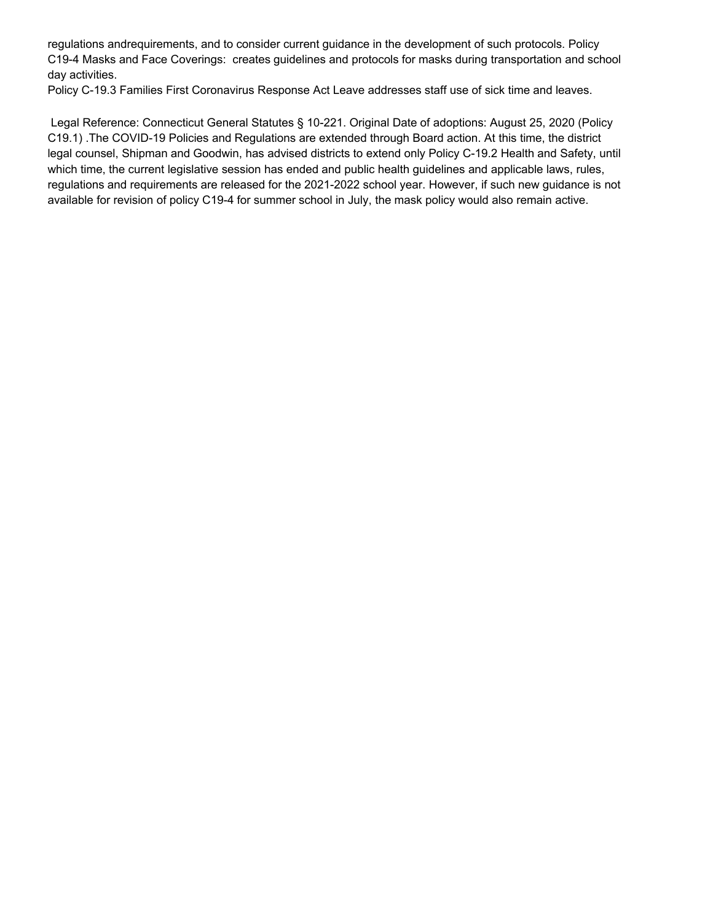regulations andrequirements, and to consider current guidance in the development of such protocols. Policy C19-4 Masks and Face Coverings: creates guidelines and protocols for masks during transportation and school day activities.

Policy C-19.3 Families First Coronavirus Response Act Leave addresses staff use of sick time and leaves.

Legal Reference: Connecticut General Statutes § 10-221. Original Date of adoptions: August 25, 2020 (Policy C19.1) .The COVID-19 Policies and Regulations are extended through Board action. At this time, the district legal counsel, Shipman and Goodwin, has advised districts to extend only Policy C-19.2 Health and Safety, until which time, the current legislative session has ended and public health guidelines and applicable laws, rules, regulations and requirements are released for the 2021-2022 school year. However, if such new guidance is not available for revision of policy C19-4 for summer school in July, the mask policy would also remain active.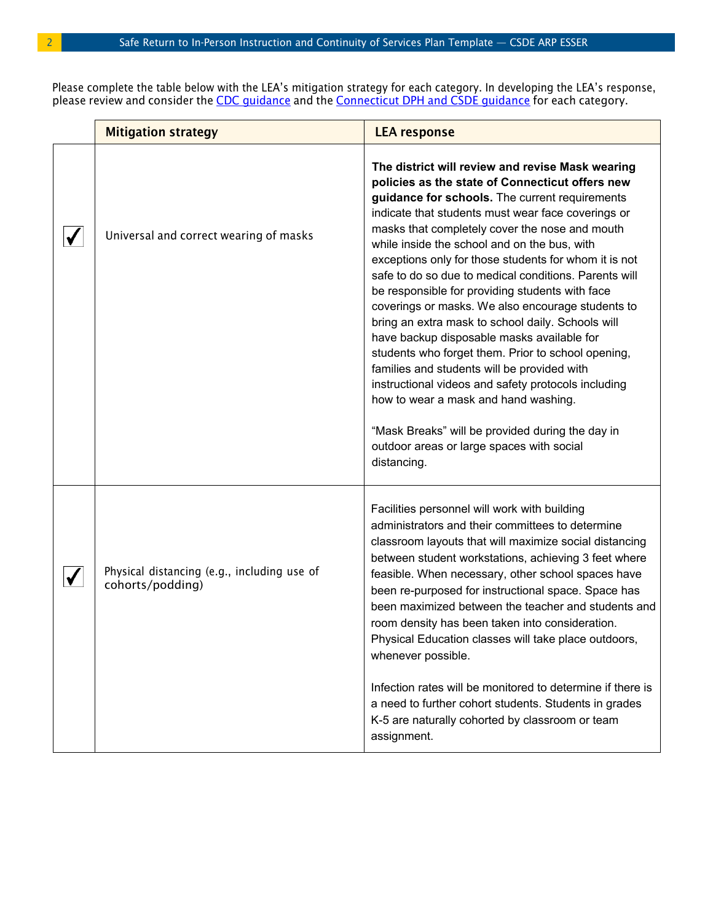Please complete the table below with the LEA's mitigation strategy for each category. In developing the LEA's response, please review and consider the <u>CDC quidance</u> and the <u>[Connecticut](https://portal.ct.gov/SDE/COVID19/COVID-19-Resources-for-Families-and-Educators/Addendums-and-FAQs) DPH and CSDE quidance</u> for each category.

| <b>Mitigation strategy</b>                                      | <b>LEA response</b>                                                                                                                                                                                                                                                                                                                                                                                                                                                                                                                                                                                                                                                                                                                                                                                                                                                                                                                                            |
|-----------------------------------------------------------------|----------------------------------------------------------------------------------------------------------------------------------------------------------------------------------------------------------------------------------------------------------------------------------------------------------------------------------------------------------------------------------------------------------------------------------------------------------------------------------------------------------------------------------------------------------------------------------------------------------------------------------------------------------------------------------------------------------------------------------------------------------------------------------------------------------------------------------------------------------------------------------------------------------------------------------------------------------------|
| Universal and correct wearing of masks                          | The district will review and revise Mask wearing<br>policies as the state of Connecticut offers new<br>guidance for schools. The current requirements<br>indicate that students must wear face coverings or<br>masks that completely cover the nose and mouth<br>while inside the school and on the bus, with<br>exceptions only for those students for whom it is not<br>safe to do so due to medical conditions. Parents will<br>be responsible for providing students with face<br>coverings or masks. We also encourage students to<br>bring an extra mask to school daily. Schools will<br>have backup disposable masks available for<br>students who forget them. Prior to school opening,<br>families and students will be provided with<br>instructional videos and safety protocols including<br>how to wear a mask and hand washing.<br>"Mask Breaks" will be provided during the day in<br>outdoor areas or large spaces with social<br>distancing. |
| Physical distancing (e.g., including use of<br>cohorts/podding) | Facilities personnel will work with building<br>administrators and their committees to determine<br>classroom layouts that will maximize social distancing<br>between student workstations, achieving 3 feet where<br>feasible. When necessary, other school spaces have<br>been re-purposed for instructional space. Space has<br>been maximized between the teacher and students and<br>room density has been taken into consideration.<br>Physical Education classes will take place outdoors,<br>whenever possible.<br>Infection rates will be monitored to determine if there is<br>a need to further cohort students. Students in grades<br>K-5 are naturally cohorted by classroom or team<br>assignment.                                                                                                                                                                                                                                               |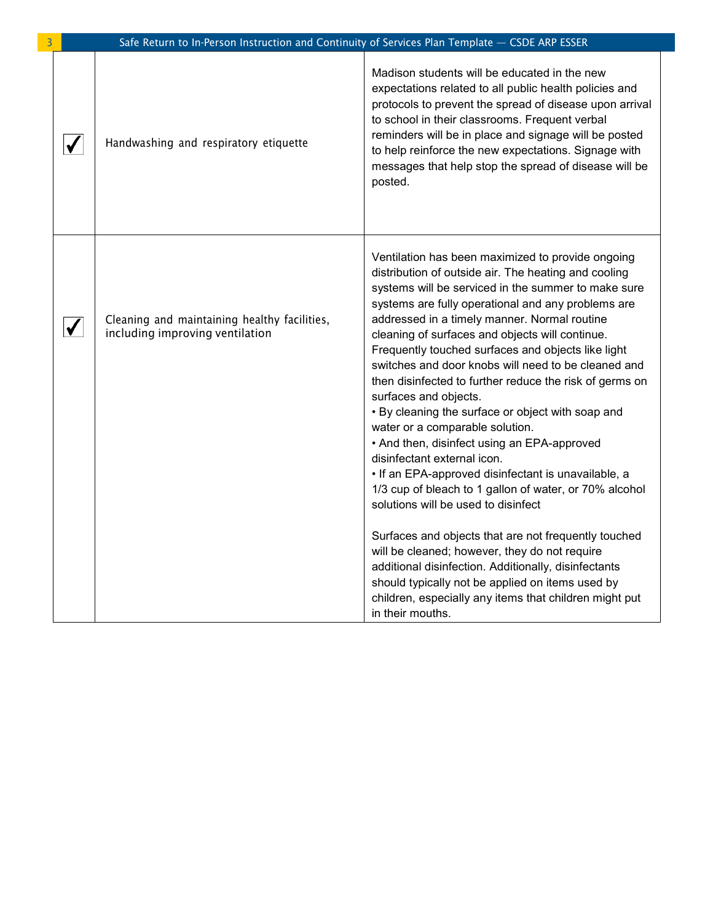|   | Safe Return to In-Person Instruction and Continuity of Services Plan Template - CSDE ARP ESSER |                                                                                                                                                                                                                                                                                                                                                                                                                                                                                                                                                                                                                                                                                                                                                                                                                                                                                                                                                                                                                           |
|---|------------------------------------------------------------------------------------------------|---------------------------------------------------------------------------------------------------------------------------------------------------------------------------------------------------------------------------------------------------------------------------------------------------------------------------------------------------------------------------------------------------------------------------------------------------------------------------------------------------------------------------------------------------------------------------------------------------------------------------------------------------------------------------------------------------------------------------------------------------------------------------------------------------------------------------------------------------------------------------------------------------------------------------------------------------------------------------------------------------------------------------|
|   | Handwashing and respiratory etiquette                                                          | Madison students will be educated in the new<br>expectations related to all public health policies and<br>protocols to prevent the spread of disease upon arrival<br>to school in their classrooms. Frequent verbal<br>reminders will be in place and signage will be posted<br>to help reinforce the new expectations. Signage with<br>messages that help stop the spread of disease will be<br>posted.                                                                                                                                                                                                                                                                                                                                                                                                                                                                                                                                                                                                                  |
| √ | Cleaning and maintaining healthy facilities,<br>including improving ventilation                | Ventilation has been maximized to provide ongoing<br>distribution of outside air. The heating and cooling<br>systems will be serviced in the summer to make sure<br>systems are fully operational and any problems are<br>addressed in a timely manner. Normal routine<br>cleaning of surfaces and objects will continue.<br>Frequently touched surfaces and objects like light<br>switches and door knobs will need to be cleaned and<br>then disinfected to further reduce the risk of germs on<br>surfaces and objects.<br>• By cleaning the surface or object with soap and<br>water or a comparable solution.<br>• And then, disinfect using an EPA-approved<br>disinfectant external icon.<br>• If an EPA-approved disinfectant is unavailable, a<br>1/3 cup of bleach to 1 gallon of water, or 70% alcohol<br>solutions will be used to disinfect<br>Surfaces and objects that are not frequently touched<br>will be cleaned; however, they do not require<br>additional disinfection. Additionally, disinfectants |
|   |                                                                                                | should typically not be applied on items used by<br>children, especially any items that children might put<br>in their mouths.                                                                                                                                                                                                                                                                                                                                                                                                                                                                                                                                                                                                                                                                                                                                                                                                                                                                                            |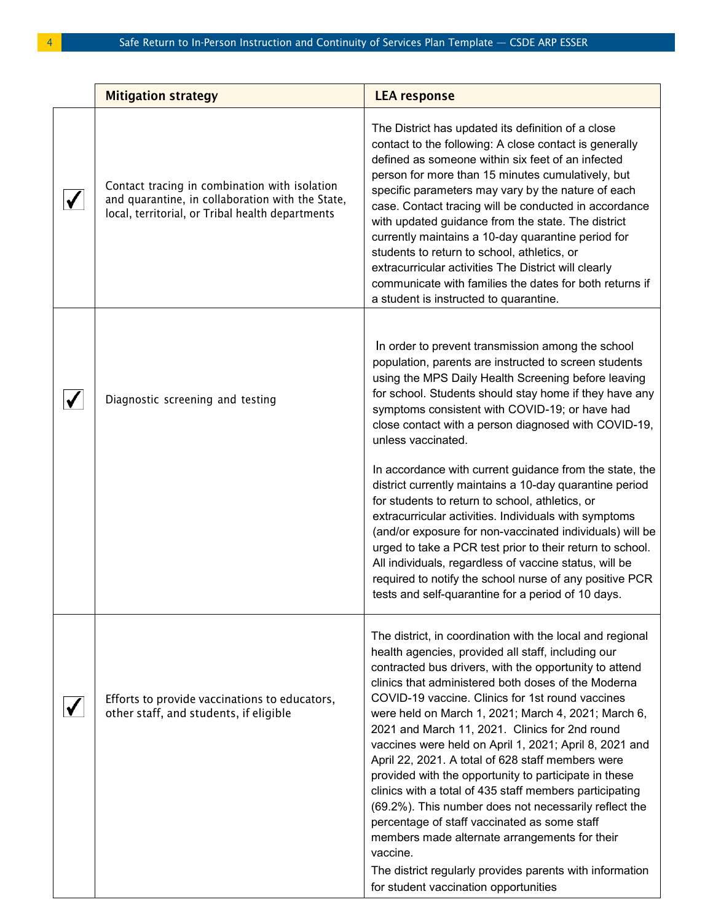| <b>Mitigation strategy</b>                                                                                                                            | <b>LEA response</b>                                                                                                                                                                                                                                                                                                                                                                                                                                                                                                                                                                                                                                                                                                                                                                                                                                                                                         |
|-------------------------------------------------------------------------------------------------------------------------------------------------------|-------------------------------------------------------------------------------------------------------------------------------------------------------------------------------------------------------------------------------------------------------------------------------------------------------------------------------------------------------------------------------------------------------------------------------------------------------------------------------------------------------------------------------------------------------------------------------------------------------------------------------------------------------------------------------------------------------------------------------------------------------------------------------------------------------------------------------------------------------------------------------------------------------------|
| Contact tracing in combination with isolation<br>and quarantine, in collaboration with the State,<br>local, territorial, or Tribal health departments | The District has updated its definition of a close<br>contact to the following: A close contact is generally<br>defined as someone within six feet of an infected<br>person for more than 15 minutes cumulatively, but<br>specific parameters may vary by the nature of each<br>case. Contact tracing will be conducted in accordance<br>with updated guidance from the state. The district<br>currently maintains a 10-day quarantine period for<br>students to return to school, athletics, or<br>extracurricular activities The District will clearly<br>communicate with families the dates for both returns if<br>a student is instructed to quarantine.                                                                                                                                                                                                                                               |
| Diagnostic screening and testing                                                                                                                      | In order to prevent transmission among the school<br>population, parents are instructed to screen students<br>using the MPS Daily Health Screening before leaving<br>for school. Students should stay home if they have any<br>symptoms consistent with COVID-19; or have had<br>close contact with a person diagnosed with COVID-19,<br>unless vaccinated.<br>In accordance with current guidance from the state, the<br>district currently maintains a 10-day quarantine period<br>for students to return to school, athletics, or<br>extracurricular activities. Individuals with symptoms<br>(and/or exposure for non-vaccinated individuals) will be<br>urged to take a PCR test prior to their return to school.<br>All individuals, regardless of vaccine status, will be<br>required to notify the school nurse of any positive PCR<br>tests and self-quarantine for a period of 10 days.           |
| Efforts to provide vaccinations to educators,<br>other staff, and students, if eligible                                                               | The district, in coordination with the local and regional<br>health agencies, provided all staff, including our<br>contracted bus drivers, with the opportunity to attend<br>clinics that administered both doses of the Moderna<br>COVID-19 vaccine. Clinics for 1st round vaccines<br>were held on March 1, 2021; March 4, 2021; March 6,<br>2021 and March 11, 2021. Clinics for 2nd round<br>vaccines were held on April 1, 2021; April 8, 2021 and<br>April 22, 2021. A total of 628 staff members were<br>provided with the opportunity to participate in these<br>clinics with a total of 435 staff members participating<br>(69.2%). This number does not necessarily reflect the<br>percentage of staff vaccinated as some staff<br>members made alternate arrangements for their<br>vaccine.<br>The district regularly provides parents with information<br>for student vaccination opportunities |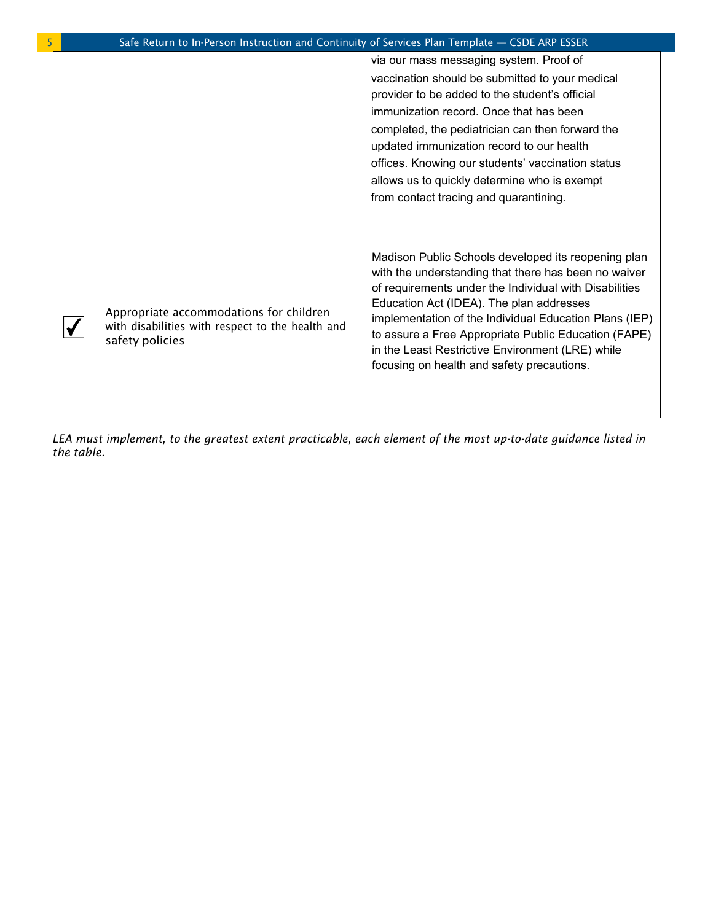|  | Safe Return to In-Person Instruction and Continuity of Services Plan Template - CSDE ARP ESSER                 |                                                                                                                                                                                                                                                                                                                                                                                                                                         |
|--|----------------------------------------------------------------------------------------------------------------|-----------------------------------------------------------------------------------------------------------------------------------------------------------------------------------------------------------------------------------------------------------------------------------------------------------------------------------------------------------------------------------------------------------------------------------------|
|  |                                                                                                                | via our mass messaging system. Proof of<br>vaccination should be submitted to your medical<br>provider to be added to the student's official<br>immunization record. Once that has been<br>completed, the pediatrician can then forward the<br>updated immunization record to our health<br>offices. Knowing our students' vaccination status<br>allows us to quickly determine who is exempt<br>from contact tracing and quarantining. |
|  | Appropriate accommodations for children<br>with disabilities with respect to the health and<br>safety policies | Madison Public Schools developed its reopening plan<br>with the understanding that there has been no waiver<br>of requirements under the Individual with Disabilities<br>Education Act (IDEA). The plan addresses<br>implementation of the Individual Education Plans (IEP)<br>to assure a Free Appropriate Public Education (FAPE)<br>in the Least Restrictive Environment (LRE) while<br>focusing on health and safety precautions.   |

*LEA must implement, to the greatest extent practicable, each element of the most up-to-date guidance listed in the table.*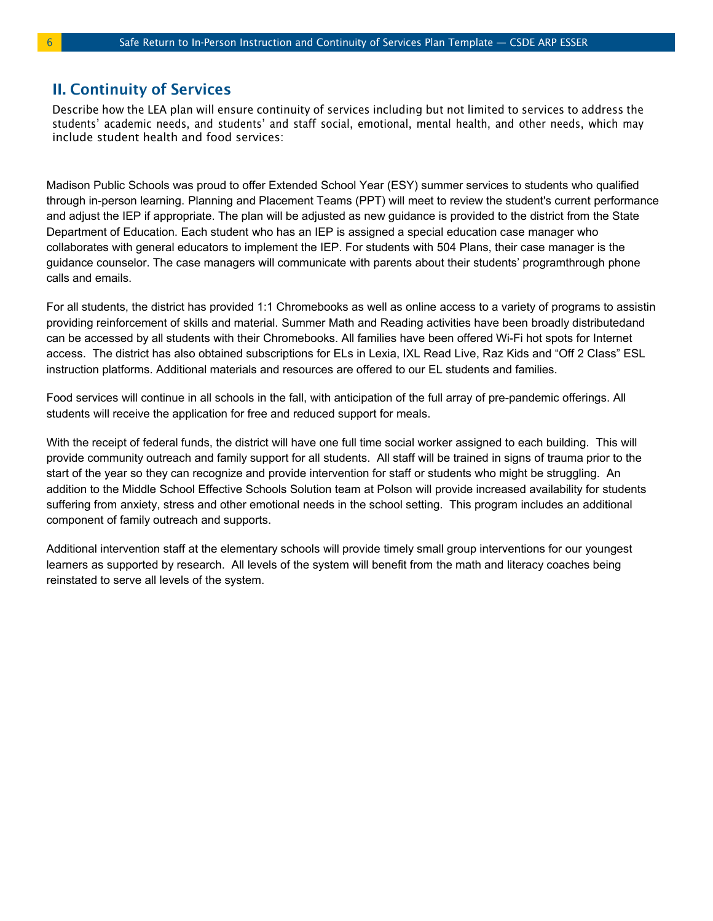## II. Continuity of Services

Describe how the LEA plan will ensure continuity of services including but not limited to services to address the students' academic needs, and students' and staff social, emotional, mental health, and other needs, which may include student health and food services:

Madison Public Schools was proud to offer Extended School Year (ESY) summer services to students who qualified through in-person learning. Planning and Placement Teams (PPT) will meet to review the student's current performance and adjust the IEP if appropriate. The plan will be adjusted as new guidance is provided to the district from the State Department of Education. Each student who has an IEP is assigned a special education case manager who collaborates with general educators to implement the IEP. For students with 504 Plans, their case manager is the guidance counselor. The case managers will communicate with parents about their students' programthrough phone calls and emails.

For all students, the district has provided 1:1 Chromebooks as well as online access to a variety of programs to assistin providing reinforcement of skills and material. Summer Math and Reading activities have been broadly distributedand can be accessed by all students with their Chromebooks. All families have been offered Wi-Fi hot spots for Internet access. The district has also obtained subscriptions for ELs in Lexia, IXL Read Live, Raz Kids and "Off 2 Class" ESL instruction platforms. Additional materials and resources are offered to our EL students and families.

Food services will continue in all schools in the fall, with anticipation of the full array of pre-pandemic offerings. All students will receive the application for free and reduced support for meals.

With the receipt of federal funds, the district will have one full time social worker assigned to each building. This will provide community outreach and family support for all students. All staff will be trained in signs of trauma prior to the start of the year so they can recognize and provide intervention for staff or students who might be struggling. An addition to the Middle School Effective Schools Solution team at Polson will provide increased availability for students suffering from anxiety, stress and other emotional needs in the school setting. This program includes an additional component of family outreach and supports.

Additional intervention staff at the elementary schools will provide timely small group interventions for our youngest learners as supported by research. All levels of the system will benefit from the math and literacy coaches being reinstated to serve all levels of the system.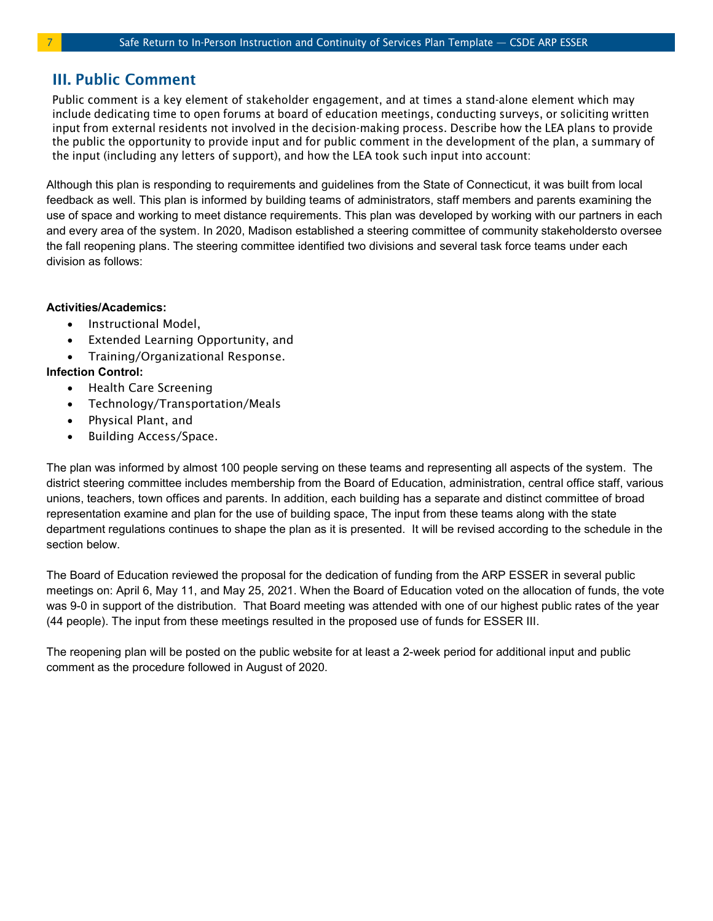## III. Public Comment

Public comment is a key element of stakeholder engagement, and at times a stand-alone element which may include dedicating time to open forums at board of education meetings, conducting surveys, or soliciting written input from external residents not involved in the decision-making process. Describe how the LEA plans to provide the public the opportunity to provide input and for public comment in the development of the plan, a summary of the input (including any letters of support), and how the LEA took such input into account:

Although this plan is responding to requirements and guidelines from the State of Connecticut, it was built from local feedback as well. This plan is informed by building teams of administrators, staff members and parents examining the use of space and working to meet distance requirements. This plan was developed by working with our partners in each and every area of the system. In 2020, Madison established a steering committee of community stakeholdersto oversee the fall reopening plans. The steering committee identified two divisions and several task force teams under each division as follows:

#### **Activities/Academics:**

- Instructional Model,
- Extended Learning Opportunity, and
- Training/Organizational Response.

#### **Infection Control:**

- Health Care Screening
- Technology/Transportation/Meals
- Physical Plant, and
- Building Access/Space.

The plan was informed by almost 100 people serving on these teams and representing all aspects of the system. The district steering committee includes membership from the Board of Education, administration, central office staff, various unions, teachers, town offices and parents. In addition, each building has a separate and distinct committee of broad representation examine and plan for the use of building space, The input from these teams along with the state department regulations continues to shape the plan as it is presented. It will be revised according to the schedule in the section below.

The Board of Education reviewed the proposal for the dedication of funding from the ARP ESSER in several public meetings on: April 6, May 11, and May 25, 2021. When the Board of Education voted on the allocation of funds, the vote was 9-0 in support of the distribution. That Board meeting was attended with one of our highest public rates of the year (44 people). The input from these meetings resulted in the proposed use of funds for ESSER III.

The reopening plan will be posted on the public website for at least a 2-week period for additional input and public comment as the procedure followed in August of 2020.